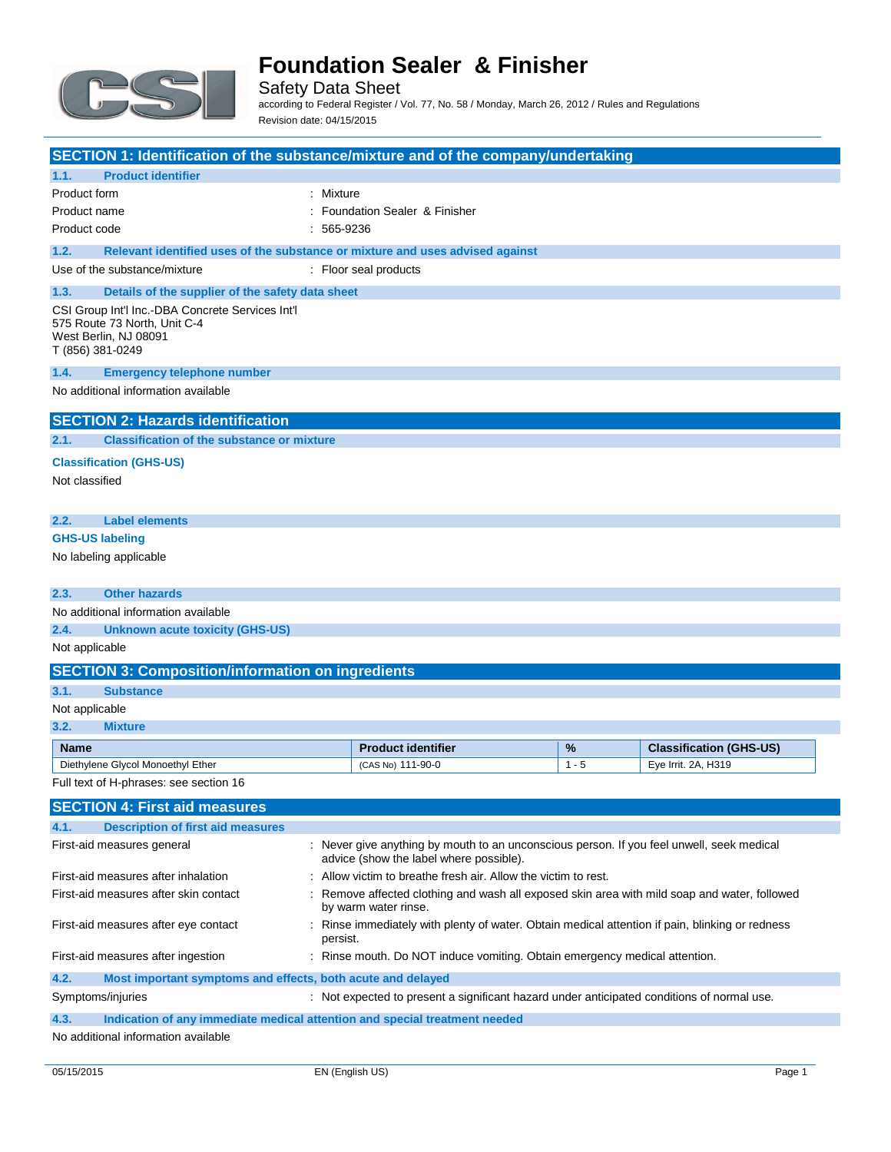

Safety Data Sheet according to Federal Register / Vol. 77, No. 58 / Monday, March 26, 2012 / Rules and Regulations Revision date: 04/15/2015

|                                           |                                                                                       |              | SECTION 1: Identification of the substance/mixture and of the company/undertaking                                                    |                 |                                                       |
|-------------------------------------------|---------------------------------------------------------------------------------------|--------------|--------------------------------------------------------------------------------------------------------------------------------------|-----------------|-------------------------------------------------------|
|                                           |                                                                                       |              |                                                                                                                                      |                 |                                                       |
| 1.1.                                      | <b>Product identifier</b>                                                             |              |                                                                                                                                      |                 |                                                       |
| Product form                              |                                                                                       | : Mixture    | : Foundation Sealer & Finisher                                                                                                       |                 |                                                       |
| Product name<br>Product code              |                                                                                       | $: 565-9236$ |                                                                                                                                      |                 |                                                       |
|                                           |                                                                                       |              |                                                                                                                                      |                 |                                                       |
|                                           | Relevant identified uses of the substance or mixture and uses advised against<br>1.2. |              |                                                                                                                                      |                 |                                                       |
|                                           | Use of the substance/mixture                                                          |              | : Floor seal products                                                                                                                |                 |                                                       |
| 1.3.                                      | Details of the supplier of the safety data sheet                                      |              |                                                                                                                                      |                 |                                                       |
| West Berlin, NJ 08091<br>T (856) 381-0249 | CSI Group Int'l Inc.-DBA Concrete Services Int'l<br>575 Route 73 North, Unit C-4      |              |                                                                                                                                      |                 |                                                       |
| 1.4.                                      | <b>Emergency telephone number</b>                                                     |              |                                                                                                                                      |                 |                                                       |
|                                           | No additional information available                                                   |              |                                                                                                                                      |                 |                                                       |
|                                           | <b>SECTION 2: Hazards identification</b>                                              |              |                                                                                                                                      |                 |                                                       |
| 2.1.                                      | <b>Classification of the substance or mixture</b>                                     |              |                                                                                                                                      |                 |                                                       |
|                                           | <b>Classification (GHS-US)</b>                                                        |              |                                                                                                                                      |                 |                                                       |
| Not classified                            |                                                                                       |              |                                                                                                                                      |                 |                                                       |
|                                           |                                                                                       |              |                                                                                                                                      |                 |                                                       |
| 2.2.                                      | <b>Label elements</b>                                                                 |              |                                                                                                                                      |                 |                                                       |
| <b>GHS-US labeling</b>                    |                                                                                       |              |                                                                                                                                      |                 |                                                       |
| No labeling applicable                    |                                                                                       |              |                                                                                                                                      |                 |                                                       |
|                                           |                                                                                       |              |                                                                                                                                      |                 |                                                       |
| 2.3.                                      | <b>Other hazards</b>                                                                  |              |                                                                                                                                      |                 |                                                       |
|                                           | No additional information available                                                   |              |                                                                                                                                      |                 |                                                       |
| 2.4.                                      | <b>Unknown acute toxicity (GHS-US)</b>                                                |              |                                                                                                                                      |                 |                                                       |
| Not applicable                            |                                                                                       |              |                                                                                                                                      |                 |                                                       |
|                                           | <b>SECTION 3: Composition/information on ingredients</b>                              |              |                                                                                                                                      |                 |                                                       |
| 3.1.                                      | <b>Substance</b>                                                                      |              |                                                                                                                                      |                 |                                                       |
| Not applicable                            |                                                                                       |              |                                                                                                                                      |                 |                                                       |
| 3.2.                                      | <b>Mixture</b>                                                                        |              |                                                                                                                                      |                 |                                                       |
|                                           |                                                                                       |              |                                                                                                                                      |                 |                                                       |
|                                           |                                                                                       |              |                                                                                                                                      |                 |                                                       |
| <b>Name</b>                               | Diethylene Glycol Monoethyl Ether                                                     |              | <b>Product identifier</b><br>(CAS No) 111-90-0                                                                                       | $\%$<br>$1 - 5$ | <b>Classification (GHS-US)</b><br>Eye Irrit. 2A, H319 |
|                                           | Full text of H-phrases: see section 16                                                |              |                                                                                                                                      |                 |                                                       |
|                                           |                                                                                       |              |                                                                                                                                      |                 |                                                       |
|                                           | <b>SECTION 4: First aid measures</b>                                                  |              |                                                                                                                                      |                 |                                                       |
| 4.1.                                      | <b>Description of first aid measures</b>                                              |              |                                                                                                                                      |                 |                                                       |
|                                           | First-aid measures general                                                            |              | : Never give anything by mouth to an unconscious person. If you feel unwell, seek medical<br>advice (show the label where possible). |                 |                                                       |
|                                           | First-aid measures after inhalation                                                   |              | : Allow victim to breathe fresh air. Allow the victim to rest.                                                                       |                 |                                                       |
|                                           | First-aid measures after skin contact                                                 |              | Remove affected clothing and wash all exposed skin area with mild soap and water, followed<br>by warm water rinse.                   |                 |                                                       |
|                                           | First-aid measures after eye contact                                                  | persist.     | Rinse immediately with plenty of water. Obtain medical attention if pain, blinking or redness                                        |                 |                                                       |
|                                           | First-aid measures after ingestion                                                    |              | : Rinse mouth. Do NOT induce vomiting. Obtain emergency medical attention.                                                           |                 |                                                       |
| 4.2.                                      | Most important symptoms and effects, both acute and delayed                           |              |                                                                                                                                      |                 |                                                       |
| Symptoms/injuries                         |                                                                                       |              | : Not expected to present a significant hazard under anticipated conditions of normal use.                                           |                 |                                                       |
| 4.3.                                      | Indication of any immediate medical attention and special treatment needed            |              |                                                                                                                                      |                 |                                                       |

No additional information available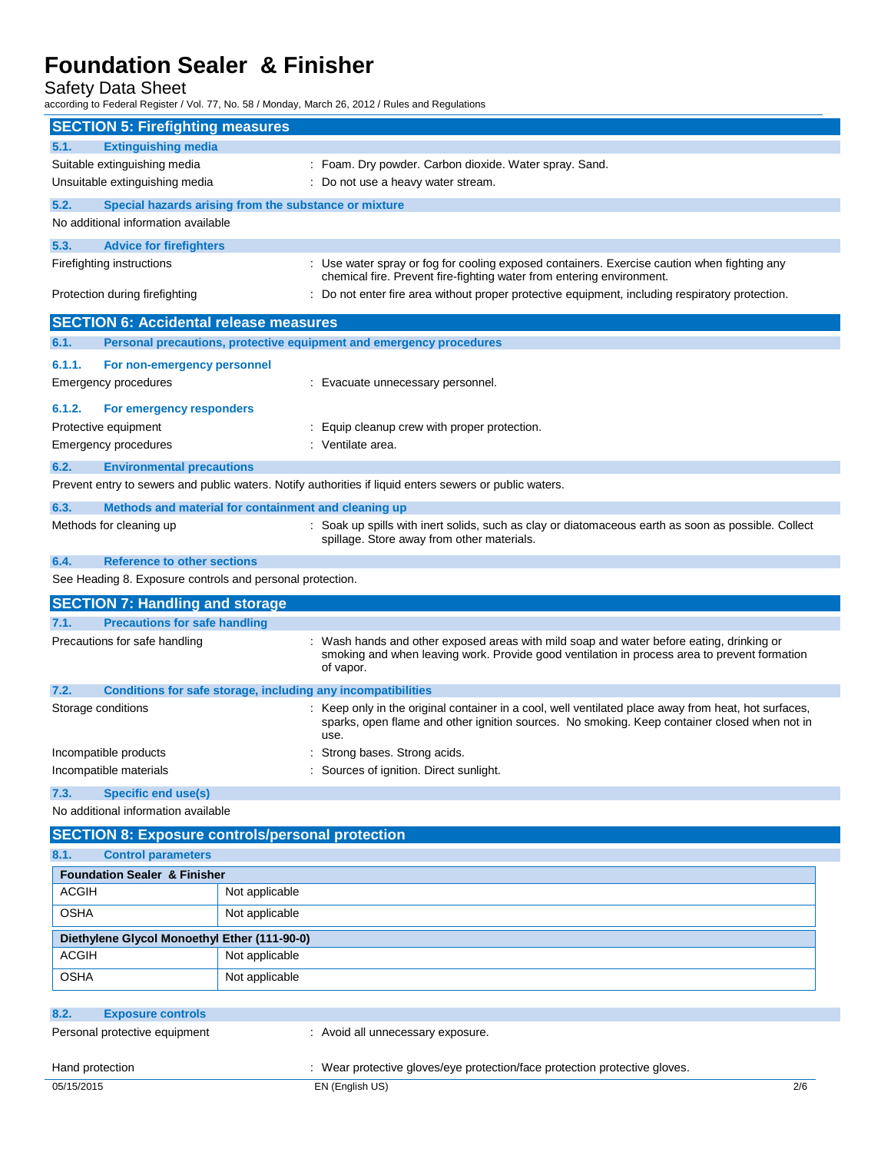Safety Data Sheet

according to Federal Register / Vol. 77, No. 58 / Monday, March 26, 2012 / Rules and Regulations

|                                                               | <b>SECTION 5: Firefighting measures</b> |                                                                                                                                                                                                              |
|---------------------------------------------------------------|-----------------------------------------|--------------------------------------------------------------------------------------------------------------------------------------------------------------------------------------------------------------|
| 5.1.<br><b>Extinguishing media</b>                            |                                         |                                                                                                                                                                                                              |
| Suitable extinguishing media                                  |                                         | : Foam. Dry powder. Carbon dioxide. Water spray. Sand.                                                                                                                                                       |
| Unsuitable extinguishing media                                |                                         | : Do not use a heavy water stream.                                                                                                                                                                           |
| 5.2.<br>Special hazards arising from the substance or mixture |                                         |                                                                                                                                                                                                              |
| No additional information available                           |                                         |                                                                                                                                                                                                              |
| 5.3.<br><b>Advice for firefighters</b>                        |                                         |                                                                                                                                                                                                              |
| Firefighting instructions                                     |                                         | : Use water spray or fog for cooling exposed containers. Exercise caution when fighting any                                                                                                                  |
| Protection during firefighting                                |                                         | chemical fire. Prevent fire-fighting water from entering environment.<br>: Do not enter fire area without proper protective equipment, including respiratory protection.                                     |
|                                                               |                                         |                                                                                                                                                                                                              |
| <b>SECTION 6: Accidental release measures</b>                 |                                         |                                                                                                                                                                                                              |
| 6.1.                                                          |                                         | Personal precautions, protective equipment and emergency procedures                                                                                                                                          |
| 6.1.1.<br>For non-emergency personnel                         |                                         |                                                                                                                                                                                                              |
| Emergency procedures                                          |                                         | : Evacuate unnecessary personnel.                                                                                                                                                                            |
| 6.1.2.<br>For emergency responders                            |                                         |                                                                                                                                                                                                              |
| Protective equipment                                          |                                         | : Equip cleanup crew with proper protection.                                                                                                                                                                 |
| <b>Emergency procedures</b>                                   |                                         | : Ventilate area.                                                                                                                                                                                            |
| 6.2.<br><b>Environmental precautions</b>                      |                                         |                                                                                                                                                                                                              |
|                                                               |                                         | Prevent entry to sewers and public waters. Notify authorities if liquid enters sewers or public waters.                                                                                                      |
| 6.3.<br>Methods and material for containment and cleaning up  |                                         |                                                                                                                                                                                                              |
| Methods for cleaning up                                       |                                         | : Soak up spills with inert solids, such as clay or diatomaceous earth as soon as possible. Collect<br>spillage. Store away from other materials.                                                            |
| 6.4.<br><b>Reference to other sections</b>                    |                                         |                                                                                                                                                                                                              |
| See Heading 8. Exposure controls and personal protection.     |                                         |                                                                                                                                                                                                              |
| <b>SECTION 7: Handling and storage</b>                        |                                         |                                                                                                                                                                                                              |
| 7.1.<br><b>Precautions for safe handling</b>                  |                                         |                                                                                                                                                                                                              |
| Precautions for safe handling                                 |                                         | Wash hands and other exposed areas with mild soap and water before eating, drinking or                                                                                                                       |
|                                                               |                                         | smoking and when leaving work. Provide good ventilation in process area to prevent formation<br>of vapor.                                                                                                    |
| 7.2.                                                          |                                         | Conditions for safe storage, including any incompatibilities                                                                                                                                                 |
| Storage conditions                                            |                                         | : Keep only in the original container in a cool, well ventilated place away from heat, hot surfaces,<br>sparks, open flame and other ignition sources. No smoking. Keep container closed when not in<br>use. |
| Incompatible products                                         |                                         | Strong bases. Strong acids.                                                                                                                                                                                  |
| Incompatible materials                                        |                                         | Sources of ignition. Direct sunlight.                                                                                                                                                                        |
| <b>Specific end use(s)</b><br>7.3.                            |                                         |                                                                                                                                                                                                              |
| No additional information available                           |                                         |                                                                                                                                                                                                              |
|                                                               |                                         |                                                                                                                                                                                                              |
| <b>SECTION 8: Exposure controls/personal protection</b>       |                                         |                                                                                                                                                                                                              |
| <b>Control parameters</b><br>8.1.                             |                                         |                                                                                                                                                                                                              |
| <b>Foundation Sealer &amp; Finisher</b><br><b>ACGIH</b>       |                                         |                                                                                                                                                                                                              |
|                                                               | Not applicable                          |                                                                                                                                                                                                              |
| <b>OSHA</b>                                                   | Not applicable                          |                                                                                                                                                                                                              |
| Diethylene Glycol Monoethyl Ether (111-90-0)                  |                                         |                                                                                                                                                                                                              |
| <b>ACGIH</b>                                                  | Not applicable                          |                                                                                                                                                                                                              |
| <b>OSHA</b>                                                   | Not applicable                          |                                                                                                                                                                                                              |
| <b>Exposure controls</b><br>8.2.                              |                                         |                                                                                                                                                                                                              |
| Personal protective equipment                                 |                                         | : Avoid all unnecessary exposure.                                                                                                                                                                            |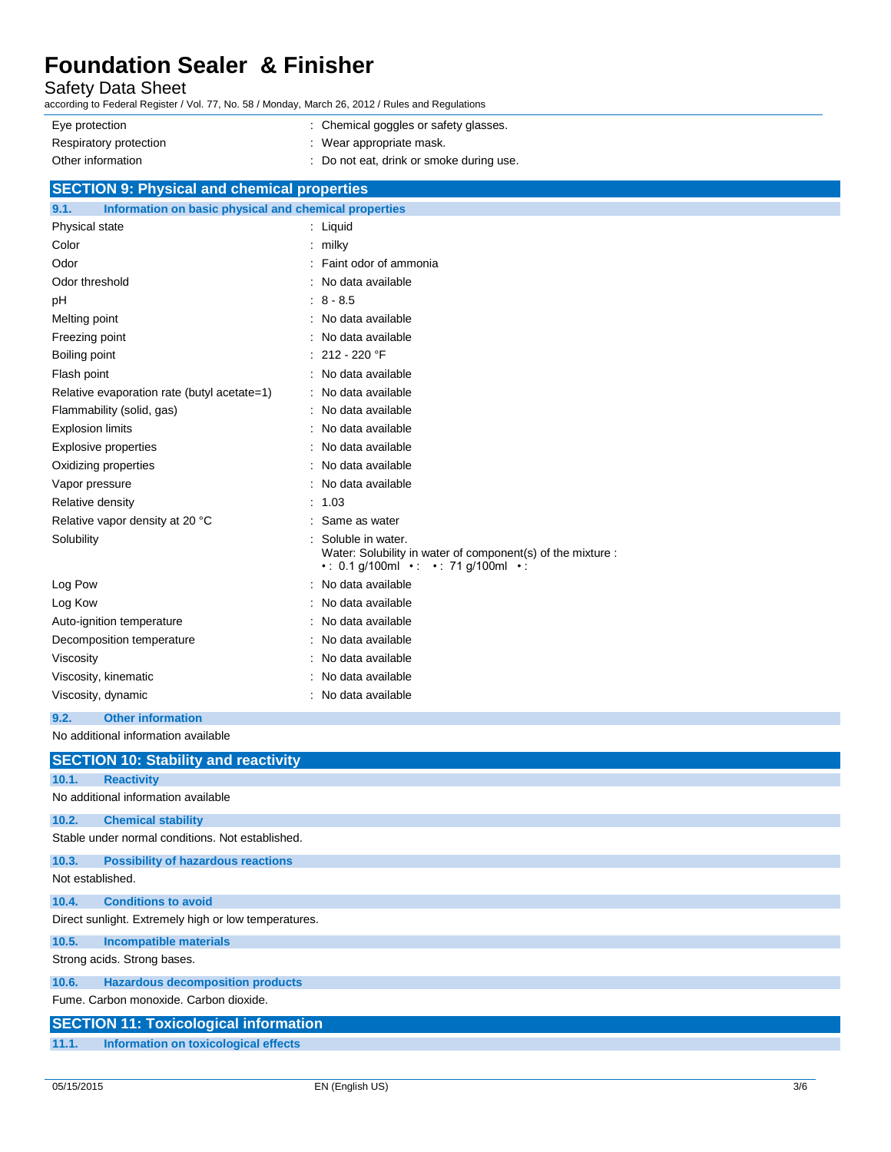Safety Data Sheet

according to Federal Register / Vol. 77, No. 58 / Monday, March 26, 2012 / Rules and Regulations

| Eye protection         | : Chemical goggles or safety glasses.  |
|------------------------|----------------------------------------|
| Respiratory protection | Wear appropriate mask.                 |
| Other information      | Do not eat, drink or smoke during use. |

| <b>SECTION 9: Physical and chemical properties</b>            |                                                                                                                            |  |  |  |
|---------------------------------------------------------------|----------------------------------------------------------------------------------------------------------------------------|--|--|--|
| Information on basic physical and chemical properties<br>9.1. |                                                                                                                            |  |  |  |
| Physical state                                                | Liquid<br>÷                                                                                                                |  |  |  |
| Color                                                         | milky                                                                                                                      |  |  |  |
| Odor                                                          | Faint odor of ammonia                                                                                                      |  |  |  |
| Odor threshold                                                | No data available                                                                                                          |  |  |  |
| pH                                                            | $8 - 8.5$                                                                                                                  |  |  |  |
| Melting point                                                 | No data available                                                                                                          |  |  |  |
| Freezing point                                                | No data available                                                                                                          |  |  |  |
| Boiling point                                                 | 212 - 220 °F                                                                                                               |  |  |  |
| Flash point                                                   | No data available                                                                                                          |  |  |  |
| Relative evaporation rate (butyl acetate=1)                   | No data available                                                                                                          |  |  |  |
| Flammability (solid, gas)                                     | No data available                                                                                                          |  |  |  |
| <b>Explosion limits</b>                                       | No data available                                                                                                          |  |  |  |
| <b>Explosive properties</b>                                   | No data available                                                                                                          |  |  |  |
| Oxidizing properties                                          | No data available                                                                                                          |  |  |  |
| Vapor pressure                                                | No data available                                                                                                          |  |  |  |
| Relative density                                              | 1.03                                                                                                                       |  |  |  |
| Relative vapor density at 20 °C                               | Same as water                                                                                                              |  |  |  |
| Solubility                                                    | Soluble in water.<br>Water: Solubility in water of component(s) of the mixture :<br>• : 0.1 g/100ml • : • : 71 g/100ml • : |  |  |  |
| Log Pow                                                       | No data available                                                                                                          |  |  |  |
| Log Kow                                                       | No data available                                                                                                          |  |  |  |
| Auto-ignition temperature                                     | No data available                                                                                                          |  |  |  |
| Decomposition temperature                                     | No data available                                                                                                          |  |  |  |
| Viscosity                                                     | No data available                                                                                                          |  |  |  |
| Viscosity, kinematic                                          | No data available                                                                                                          |  |  |  |
| Viscosity, dynamic                                            | No data available                                                                                                          |  |  |  |
| 9.2.<br><b>Other information</b>                              |                                                                                                                            |  |  |  |

No additional information available

|                  | <b>SECTION 10: Stability and reactivity</b>          |
|------------------|------------------------------------------------------|
| 10.1.            | <b>Reactivity</b>                                    |
|                  | No additional information available                  |
| 10.2.            | <b>Chemical stability</b>                            |
|                  | Stable under normal conditions. Not established.     |
| 10.3.            | <b>Possibility of hazardous reactions</b>            |
| Not established. |                                                      |
| 10.4.            | <b>Conditions to avoid</b>                           |
|                  | Direct sunlight. Extremely high or low temperatures. |
| 10.5.            | <b>Incompatible materials</b>                        |
|                  | Strong acids. Strong bases.                          |
| 10.6.            | <b>Hazardous decomposition products</b>              |
|                  | Fume, Carbon monoxide, Carbon dioxide,               |
|                  | <b>SECTION 11: Toxicological information</b>         |
| 11.1.            | Information on toxicological effects                 |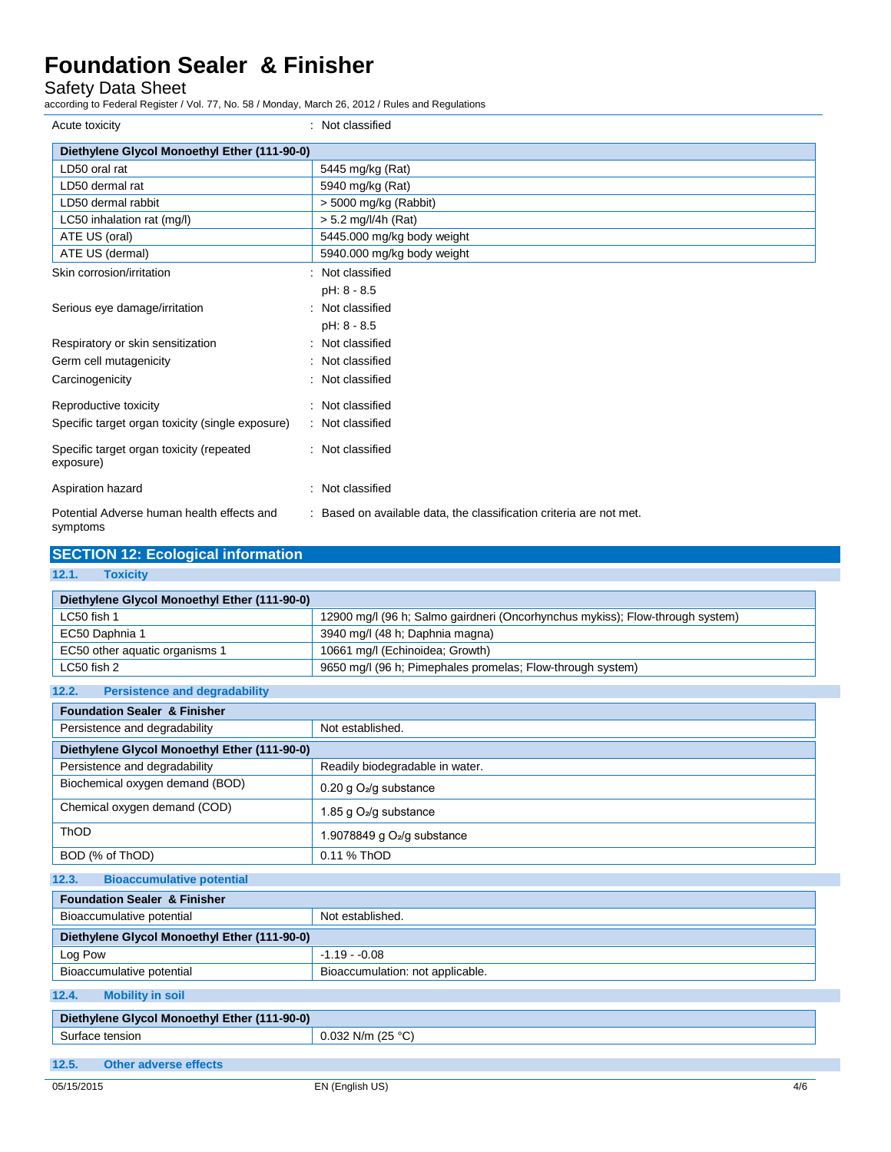Safety Data Sheet

according to Federal Register / Vol. 77, No. 58 / Monday, March 26, 2012 / Rules and Regulations

| Acute toxicity                                         | : Not classified                                                    |
|--------------------------------------------------------|---------------------------------------------------------------------|
| Diethylene Glycol Monoethyl Ether (111-90-0)           |                                                                     |
| LD50 oral rat                                          | 5445 mg/kg (Rat)                                                    |
| LD50 dermal rat                                        | 5940 mg/kg (Rat)                                                    |
| LD50 dermal rabbit                                     | $>$ 5000 mg/kg (Rabbit)                                             |
| LC50 inhalation rat (mg/l)                             | $> 5.2$ mg/l/4h (Rat)                                               |
| ATE US (oral)                                          | 5445.000 mg/kg body weight                                          |
| ATE US (dermal)                                        | 5940.000 mg/kg body weight                                          |
| Skin corrosion/irritation                              | Not classified                                                      |
|                                                        | pH: 8 - 8.5                                                         |
| Serious eye damage/irritation                          | Not classified                                                      |
|                                                        | pH: 8 - 8.5                                                         |
| Respiratory or skin sensitization                      | Not classified<br>٠                                                 |
| Germ cell mutagenicity                                 | Not classified                                                      |
| Carcinogenicity                                        | Not classified                                                      |
| Reproductive toxicity                                  | : Not classified                                                    |
| Specific target organ toxicity (single exposure)       | : Not classified                                                    |
| Specific target organ toxicity (repeated<br>exposure)  | : Not classified                                                    |
| Aspiration hazard                                      | Not classified                                                      |
| Potential Adverse human health effects and<br>symptoms | : Based on available data, the classification criteria are not met. |

### **SECTION 12: Ecological information 12.1. Toxicity Diethylene Glycol Monoethyl Ether (111-90-0)** LC50 fish 1 12900 mg/l (96 h; Salmo gairdneri (Oncorhynchus mykiss); Flow-through system) EC50 Daphnia 1 3940 mg/l (48 h; Daphnia magna) EC50 other aquatic organisms 1 10661 mg/l (Echinoidea; Growth) LC50 fish 2 estimate with the state of the 9650 mg/l (96 h; Pimephales promelas; Flow-through system) **12.2. Persistence and degradability Foundation Sealer & Finisher** Persistence and degradability Not established. **Diethylene Glycol Monoethyl Ether (111-90-0)** Persistence and degradability **Readily biodegradable in water.** Biochemical oxygen demand (BOD) 0.20 g O2/g substance Chemical oxygen demand (COD) 1.85 g O⊿/g substance ThOD 1.9078849 g O2/g substance BOD (% of ThOD) 0.11 % ThOD **12.3. Bioaccumulative potential Foundation Sealer & Finisher** Bioaccumulative potential Not established. **Diethylene Glycol Monoethyl Ether (111-90-0)** Log Pow 2012 -1.19 - 0.08 Bioaccumulative potential Bioaccumulation: not applicable. **12.4. Mobility in soil Diethylene Glycol Monoethyl Ether (111-90-0)** Surface tension 0.032 N/m (25 °C)

**12.5. Other adverse effects**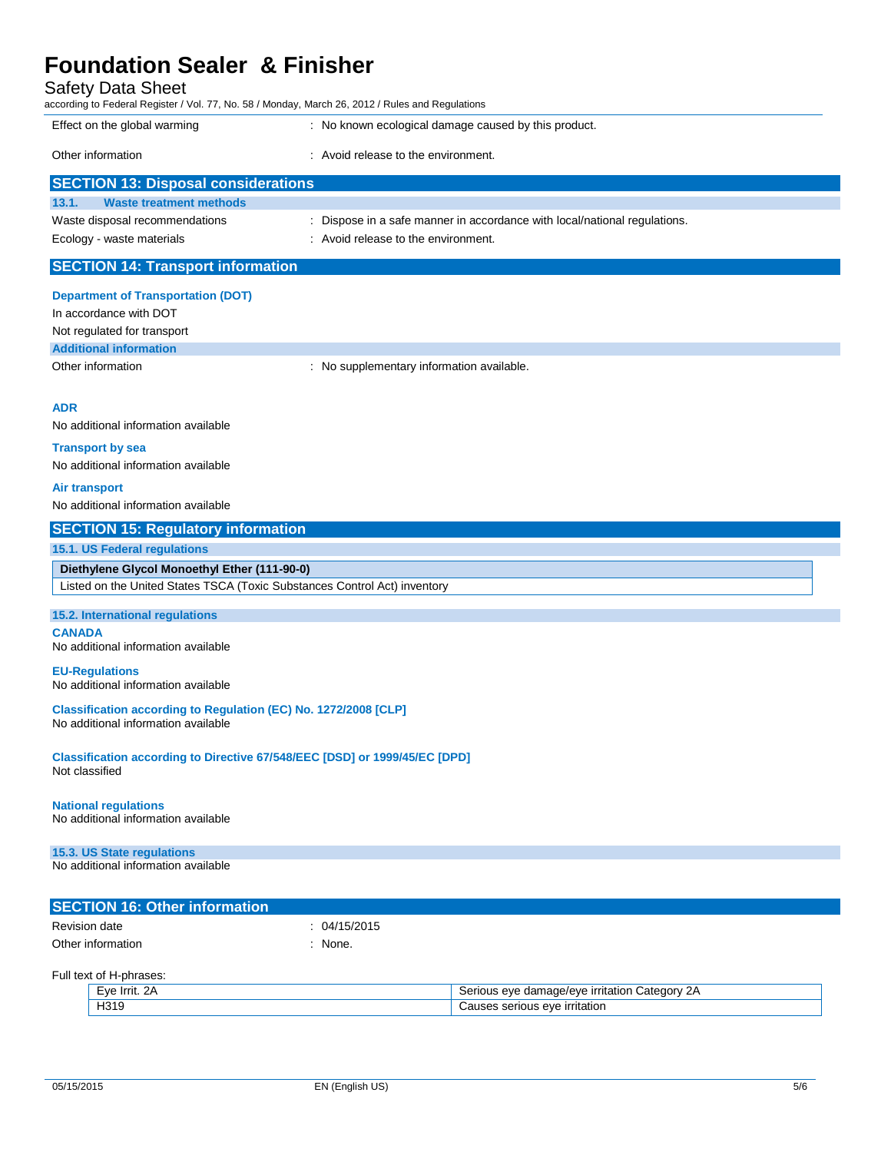| <b>Safety Data Sheet</b><br>according to Federal Register / Vol. 77, No. 58 / Monday, March 26, 2012 / Rules and Regulations |                                                                           |  |  |
|------------------------------------------------------------------------------------------------------------------------------|---------------------------------------------------------------------------|--|--|
| Effect on the global warming                                                                                                 | : No known ecological damage caused by this product.                      |  |  |
| Other information                                                                                                            | Avoid release to the environment.                                         |  |  |
| <b>SECTION 13: Disposal considerations</b>                                                                                   |                                                                           |  |  |
| <b>Waste treatment methods</b><br>13.1.                                                                                      |                                                                           |  |  |
| Waste disposal recommendations                                                                                               | : Dispose in a safe manner in accordance with local/national regulations. |  |  |
| Ecology - waste materials                                                                                                    | : Avoid release to the environment.                                       |  |  |
| <b>SECTION 14: Transport information</b>                                                                                     |                                                                           |  |  |
| <b>Department of Transportation (DOT)</b>                                                                                    |                                                                           |  |  |

In accordance with DOT

Not regulated for transport **Additional information**

Other information **contains the container of the container of the container of the container of the container of the container of the container of the container of the container of the container of the container of the con** 

#### **ADR**

No additional information available

#### **Transport by sea**

No additional information available

#### **Air transport**

No additional information available

#### **SECTION 15: Regulatory information**

#### **15.1. US Federal regulations**

**Diethylene Glycol Monoethyl Ether (111-90-0)** Listed on the United States TSCA (Toxic Substances Control Act) inventory

#### **15.2. International regulations**

**CANADA** No additional information available

#### **EU-Regulations**

No additional information available

**Classification according to Regulation (EC) No. 1272/2008 [CLP]** No additional information available

**Classification according to Directive 67/548/EEC [DSD] or 1999/45/EC [DPD]** Not classified

#### **National regulations**

No additional information available

#### **15.3. US State regulations**

No additional information available

| <b>SECTION 16: Other information</b> |              |
|--------------------------------------|--------------|
| Revision date                        | . 04/15/2015 |
| Other information                    | None.        |

Full text of H-phrases:

| $-ve$<br>-      | ∴ategor∴<br>AVE<br>ade/ever><br>ierious<br>dom<br>10N<br>чтанс.<br>.<br>- 1 |
|-----------------|-----------------------------------------------------------------------------|
| 1316<br>1 J I C | -irritation<br>eve<br>ious<br>.<br>551                                      |